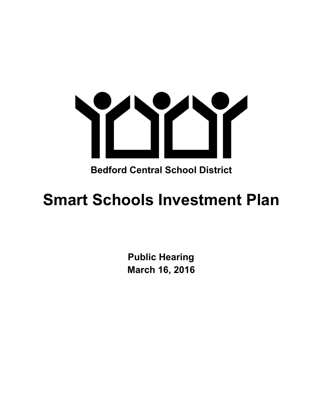

**Bedford Central School District**

# **Smart Schools Investment Plan**

**Public Hearing March 16, 2016**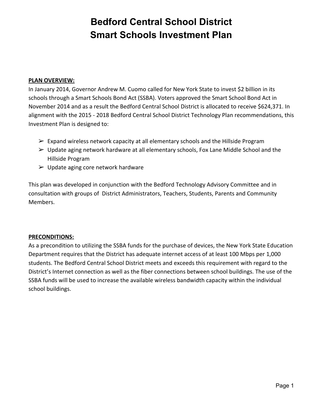#### **PLAN OVERVIEW:**

In January 2014, Governor Andrew M. Cuomo called for New York State to invest \$2 billion in its schools through a Smart Schools Bond Act (SSBA). Voters approved the Smart School Bond Act in November 2014 and as a result the Bedford Central School District is allocated to receive \$624,371. In alignment with the 2015 - 2018 Bedford Central School District Technology Plan recommendations, this Investment Plan is designed to:

- $\triangleright$  Expand wireless network capacity at all elementary schools and the Hillside Program
- $\triangleright$  Update aging network hardware at all elementary schools, Fox Lane Middle School and the Hillside Program
- $\triangleright$  Update aging core network hardware

This plan was developed in conjunction with the Bedford Technology Advisory Committee and in consultation with groups of District Administrators, Teachers, Students, Parents and Community Members.

#### **PRECONDITIONS:**

As a precondition to utilizing the SSBA funds for the purchase of devices, the New York State Education Department requires that the District has adequate internet access of at least 100 Mbps per 1,000 students. The Bedford Central School District meets and exceeds this requirement with regard to the District's Internet connection as well as the fiber connections between school buildings. The use of the SSBA funds will be used to increase the available wireless bandwidth capacity within the individual school buildings.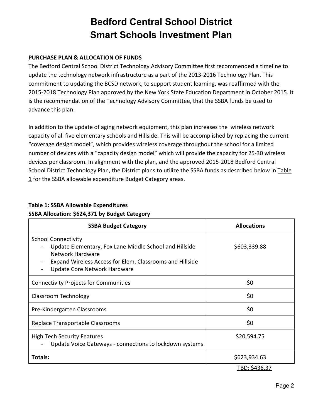### **PURCHASE PLAN & ALLOCATION OF FUNDS**

The Bedford Central School District Technology Advisory Committee first recommended a timeline to update the technology network infrastructure as a part of the 2013-2016 Technology Plan. This commitment to updating the BCSD network, to support student learning, was reaffirmed with the 2015-2018 Technology Plan approved by the New York State Education Department in October 2015. It is the recommendation of the Technology Advisory Committee, that the SSBA funds be used to advance this plan.

In addition to the update of aging network equipment, this plan increases the wireless network capacity of all five elementary schools and Hillside. This will be accomplished by replacing the current "coverage design model", which provides wireless coverage throughout the school for a limited number of devices with a "capacity design model" which will provide the capacity for 25-30 wireless devices per classroom. In alignment with the plan, and the approved 2015-2018 Bedford Central School District Technology Plan, the District plans to utilize the SSBA funds as described below in Table 1 for the SSBA allowable expenditure Budget Category areas.

| <b>SSBA Budget Category</b>                                                                                                                                                                          | <b>Allocations</b> |
|------------------------------------------------------------------------------------------------------------------------------------------------------------------------------------------------------|--------------------|
| <b>School Connectivity</b><br>Update Elementary, Fox Lane Middle School and Hillside<br>Network Hardware<br>Expand Wireless Access for Elem. Classrooms and Hillside<br>Update Core Network Hardware | \$603,339.88       |
| <b>Connectivity Projects for Communities</b>                                                                                                                                                         | \$0                |
| Classroom Technology                                                                                                                                                                                 | \$0                |
| Pre-Kindergarten Classrooms                                                                                                                                                                          | \$0                |
| Replace Transportable Classrooms                                                                                                                                                                     | \$0                |
| <b>High Tech Security Features</b><br>Update Voice Gateways - connections to lockdown systems                                                                                                        | \$20,594.75        |
| Totals:                                                                                                                                                                                              | \$623,934.63       |
|                                                                                                                                                                                                      | TBD: \$436.37      |

### **Table 1: SSBA Allowable Expenditures**

### **SSBA Allocation: \$624,371 by Budget Category**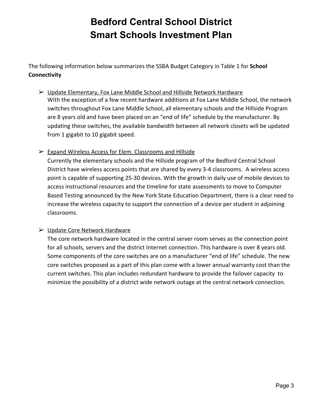The following information below summarizes the SSBA Budget Category in Table 1 for **School Connectivity**

- ➢ Update Elementary, Fox Lane Middle School and Hillside Network Hardware With the exception of a few recent hardware additions at Fox Lane Middle School, the network switches throughout Fox Lane Middle School, all elementary schools and the Hillside Program are 8 years old and have been placed on an "end of life" schedule by the manufacturer. By updating these switches, the available bandwidth between all network closets will be updated from 1 gigabit to 10 gigabit speed.
- ➢ Expand Wireless Access for Elem. Classrooms and Hillside

Currently the elementary schools and the Hillside program of the Bedford Central School District have wireless access points that are shared by every 3-4 classrooms. A wireless access point is capable of supporting 25-30 devices. With the growth in daily use of mobile devices to access instructional resources and the timeline for state assessments to move to Computer Based Testing announced by the New York State Education Department, there is a clear need to increase the wireless capacity to support the connection of a device per student in adjoining classrooms.

### ➢ Update Core Network Hardware

The core network hardware located in the central server room serves as the connection point for all schools, servers and the district Internet connection. This hardware is over 8 years old. Some components of the core switches are on a manufacturer "end of life" schedule. The new core switches proposed as a part of this plan come with a lower annual warranty cost than the current switches. This plan includes redundant hardware to provide the failover capacity to minimize the possibility of a district wide network outage at the central network connection.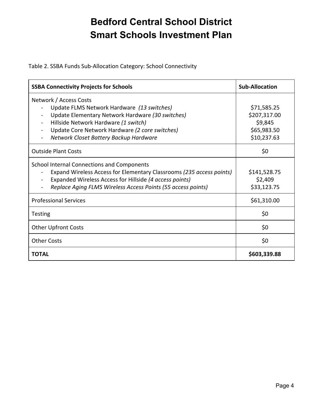Table 2. SSBA Funds Sub-Allocation Category: School Connectivity

| <b>SSBA Connectivity Projects for Schools</b>                        | <b>Sub-Allocation</b> |
|----------------------------------------------------------------------|-----------------------|
| Network / Access Costs                                               |                       |
| Update FLMS Network Hardware (13 switches)                           | \$71,585.25           |
| Update Elementary Network Hardware (30 switches)                     | \$207,317.00          |
| Hillside Network Hardware (1 switch)                                 | \$9,845               |
| Update Core Network Hardware (2 core switches)                       | \$65,983.50           |
| Network Closet Battery Backup Hardware                               | \$10,237.63           |
| <b>Outside Plant Costs</b>                                           | \$0                   |
| School Internal Connections and Components                           |                       |
| Expand Wireless Access for Elementary Classrooms (235 access points) | \$141,528.75          |
| Expanded Wireless Access for Hillside (4 access points)              | \$2,409               |
| Replace Aging FLMS Wireless Access Points (55 access points)         | \$33,123.75           |
| <b>Professional Services</b>                                         | \$61,310.00           |
| <b>Testing</b>                                                       | \$0                   |
| <b>Other Upfront Costs</b>                                           | \$0                   |
| <b>Other Costs</b>                                                   | \$0                   |
| <b>TOTAL</b>                                                         | \$603,339.88          |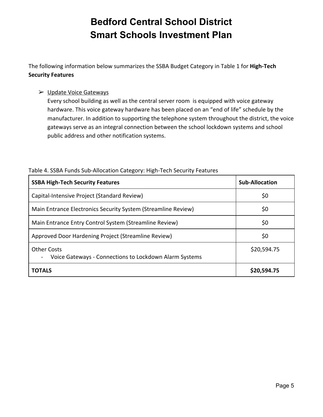The following information below summarizes the SSBA Budget Category in Table 1 for High-Tech **Security Features**

### ➢ Update Voice Gateways

Every school building as well as the central server room is equipped with voice gateway hardware. This voice gateway hardware has been placed on an "end of life" schedule by the manufacturer. In addition to supporting the telephone system throughout the district, the voice gateways serve as an integral connection between the school lockdown systems and school public address and other notification systems.

| <b>SSBA High-Tech Security Features</b>                                      | <b>Sub-Allocation</b> |
|------------------------------------------------------------------------------|-----------------------|
| Capital-Intensive Project (Standard Review)                                  | \$0                   |
| Main Entrance Electronics Security System (Streamline Review)                | \$0                   |
| Main Entrance Entry Control System (Streamline Review)                       | \$0                   |
| Approved Door Hardening Project (Streamline Review)                          | \$0                   |
| <b>Other Costs</b><br>Voice Gateways - Connections to Lockdown Alarm Systems | \$20,594.75           |
| <b>TOTALS</b>                                                                | \$20,594.75           |

#### Table 4. SSBA Funds Sub-Allocation Category: High-Tech Security Features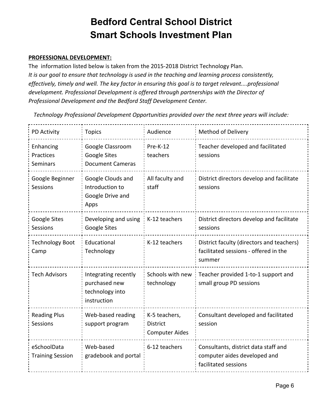### **PROFESSIONAL DEVELOPMENT:**

The information listed below is taken from the 2015-2018 District Technology Plan. *It is our goal to ensure that technology is used in the teaching and learning process consistently, effectively, timely and well. The key factor in ensuring this goal is to target relevant....professional development. Professional Development is offered through partnerships with the Director of Professional Development and the Bedford Staff Development Center.*

*Technology Professional Development Opportunities provided over the next three years will include:*

| <b>PD Activity</b>                     | <b>Topics</b>                                                           | Audience                                                  | <b>Method of Delivery</b>                                                                    |
|----------------------------------------|-------------------------------------------------------------------------|-----------------------------------------------------------|----------------------------------------------------------------------------------------------|
| Enhancing<br>Practices<br>Seminars     | Google Classroom<br><b>Google Sites</b><br><b>Document Cameras</b>      | $Pre-K-12$<br>teachers                                    | Teacher developed and facilitated<br>sessions                                                |
| Google Beginner<br><b>Sessions</b>     | Google Clouds and<br>Introduction to<br>Google Drive and<br>Apps        | All faculty and<br>staff                                  | District directors develop and facilitate<br>sessions                                        |
| Google Sites<br>Sessions               | Developing and using<br>Google Sites                                    | K-12 teachers                                             | District directors develop and facilitate<br>sessions                                        |
| <b>Technology Boot</b><br>Camp         | Educational<br>Technology                                               | K-12 teachers                                             | District faculty (directors and teachers)<br>facilitated sessions - offered in the<br>summer |
| <b>Tech Advisors</b>                   | Integrating recently<br>purchased new<br>technology into<br>instruction | Schools with new<br>technology                            | Teacher provided 1-to-1 support and<br>small group PD sessions                               |
| <b>Reading Plus</b><br><b>Sessions</b> | Web-based reading<br>support program                                    | K-5 teachers,<br><b>District</b><br><b>Computer Aides</b> | Consultant developed and facilitated<br>session                                              |
| eSchoolData<br><b>Training Session</b> | Web-based<br>gradebook and portal                                       | 6-12 teachers                                             | Consultants, district data staff and<br>computer aides developed and<br>facilitated sessions |